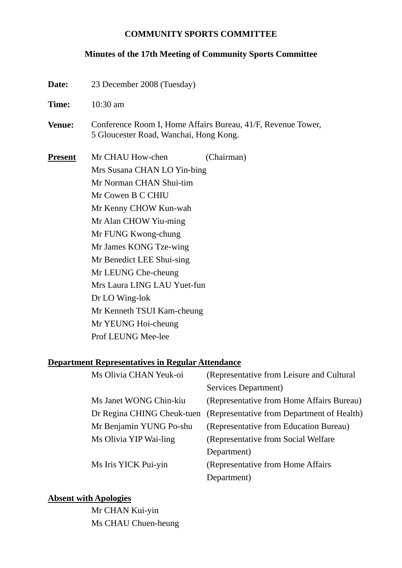#### **COMMUNITY SPORTS COMMITTEE**

#### **Minutes of the 17th Meeting of Community Sports Committee**

**Date:** 23 December 2008 (Tuesday) **Time:** 10:30 am **Venue:** Conference Room I, Home Affairs Bureau, 41/F, Revenue Tower, 5 Gloucester Road, Wanchai, Hong Kong. **Present** Mr CHAU How-chen (Chairman) Mrs Susana CHAN LO Yin-bing Mr Norman CHAN Shui-tim Mr Cowen B C CHIU Mr Kenny CHOW Kun-wah Mr Alan CHOW Yiu-ming Mr FUNG Kwong-chung Mr James KONG Tze-wing Mr Benedict LEE Shui-sing Mr LEUNG Che-cheung Mrs Laura LING LAU Yuet-fun Dr LO Wing-lok Mr Kenneth TSUI Kam-cheung Mr YEUNG Hoi-cheung Prof LEUNG Mee-lee

#### **Department Representatives in Regular Attendance**

| Ms Olivia CHAN Yeuk-oi  | (Representative from Leisure and Cultural                             |
|-------------------------|-----------------------------------------------------------------------|
|                         | Services Department)                                                  |
| Ms Janet WONG Chin-kiu  | (Representative from Home Affairs Bureau)                             |
|                         | Dr Regina CHING Cheuk-tuen (Representative from Department of Health) |
| Mr Benjamin YUNG Po-shu | (Representative from Education Bureau)                                |
| Ms Olivia YIP Wai-ling  | (Representative from Social Welfare)                                  |
|                         | Department)                                                           |
| Ms Iris YICK Pui-yin    | (Representative from Home Affairs)                                    |
|                         | Department)                                                           |

#### **Absent with Apologies**

Mr CHAN Kui-yin Ms CHAU Chuen-heung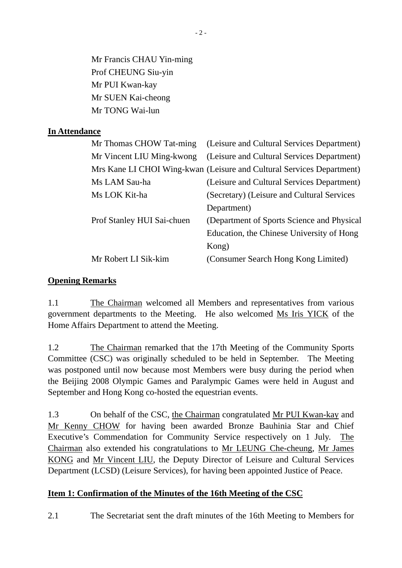Mr Francis CHAU Yin-ming Prof CHEUNG Siu-yin Mr PUI Kwan-kay Mr SUEN Kai-cheong Mr TONG Wai-lun

### **In Attendance**

| Mr Thomas CHOW Tat-ming (Leisure and Cultural Services Department)    |
|-----------------------------------------------------------------------|
| (Leisure and Cultural Services Department)                            |
| Mrs Kane LI CHOI Wing-kwan (Leisure and Cultural Services Department) |
| (Leisure and Cultural Services Department)                            |
| (Secretary) (Leisure and Cultural Services                            |
| Department)                                                           |
| (Department of Sports Science and Physical                            |
| Education, the Chinese University of Hong                             |
| Kong)                                                                 |
| (Consumer Search Hong Kong Limited)                                   |
|                                                                       |

#### **Opening Remarks**

1.1 The Chairman welcomed all Members and representatives from various government departments to the Meeting. He also welcomed Ms Iris YICK of the Home Affairs Department to attend the Meeting.

1.2 The Chairman remarked that the 17th Meeting of the Community Sports Committee (CSC) was originally scheduled to be held in September. The Meeting was postponed until now because most Members were busy during the period when the Beijing 2008 Olympic Games and Paralympic Games were held in August and September and Hong Kong co-hosted the equestrian events.

1.3 On behalf of the CSC, the Chairman congratulated Mr PUI Kwan-kay and Mr Kenny CHOW for having been awarded Bronze Bauhinia Star and Chief Executive's Commendation for Community Service respectively on 1 July. The Chairman also extended his congratulations to Mr LEUNG Che-cheung, Mr James KONG and Mr Vincent LIU, the Deputy Director of Leisure and Cultural Services Department (LCSD) (Leisure Services), for having been appointed Justice of Peace.

# **Item 1: Confirmation of the Minutes of the 16th Meeting of the CSC**

2.1 The Secretariat sent the draft minutes of the 16th Meeting to Members for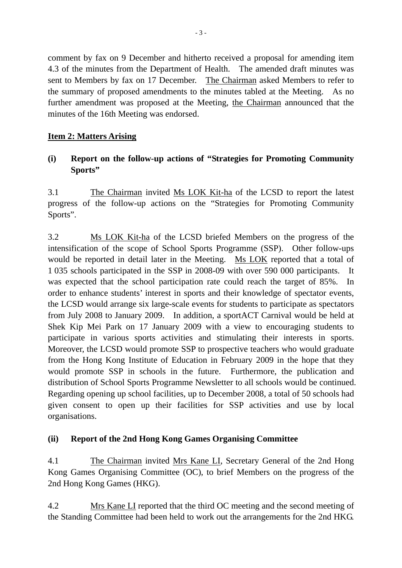comment by fax on 9 December and hitherto received a proposal for amending item 4.3 of the minutes from the Department of Health. The amended draft minutes was sent to Members by fax on 17 December. The Chairman asked Members to refer to the summary of proposed amendments to the minutes tabled at the Meeting. As no further amendment was proposed at the Meeting, the Chairman announced that the minutes of the 16th Meeting was endorsed.

### **Item 2: Matters Arising**

# **(i) Report on the follow-up actions of "Strategies for Promoting Community Sports"**

3.1 The Chairman invited Ms LOK Kit-ha of the LCSD to report the latest progress of the follow-up actions on the "Strategies for Promoting Community Sports".

3.2 Ms LOK Kit-ha of the LCSD briefed Members on the progress of the intensification of the scope of School Sports Programme (SSP). Other follow-ups would be reported in detail later in the Meeting. Ms LOK reported that a total of 1 035 schools participated in the SSP in 2008-09 with over 590 000 participants. It was expected that the school participation rate could reach the target of 85%. In order to enhance students' interest in sports and their knowledge of spectator events, the LCSD would arrange six large-scale events for students to participate as spectators from July 2008 to January 2009. In addition, a sportACT Carnival would be held at Shek Kip Mei Park on 17 January 2009 with a view to encouraging students to participate in various sports activities and stimulating their interests in sports. Moreover, the LCSD would promote SSP to prospective teachers who would graduate from the Hong Kong Institute of Education in February 2009 in the hope that they would promote SSP in schools in the future. Furthermore, the publication and distribution of School Sports Programme Newsletter to all schools would be continued. Regarding opening up school facilities, up to December 2008, a total of 50 schools had given consent to open up their facilities for SSP activities and use by local organisations.

#### **(ii) Report of the 2nd Hong Kong Games Organising Committee**

4.1 The Chairman invited Mrs Kane LI, Secretary General of the 2nd Hong Kong Games Organising Committee (OC), to brief Members on the progress of the 2nd Hong Kong Games (HKG).

4.2 Mrs Kane LI reported that the third OC meeting and the second meeting of the Standing Committee had been held to work out the arrangements for the 2nd HKG.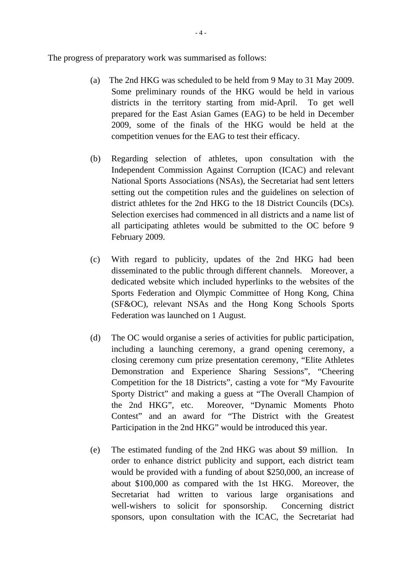The progress of preparatory work was summarised as follows:

- (a) The 2nd HKG was scheduled to be held from 9 May to 31 May 2009. Some preliminary rounds of the HKG would be held in various districts in the territory starting from mid-April. To get well prepared for the East Asian Games (EAG) to be held in December 2009, some of the finals of the HKG would be held at the competition venues for the EAG to test their efficacy.
- (b) Regarding selection of athletes, upon consultation with the Independent Commission Against Corruption (ICAC) and relevant National Sports Associations (NSAs), the Secretariat had sent letters setting out the competition rules and the guidelines on selection of district athletes for the 2nd HKG to the 18 District Councils (DCs). Selection exercises had commenced in all districts and a name list of all participating athletes would be submitted to the OC before 9 February 2009.
- (c) With regard to publicity, updates of the 2nd HKG had been disseminated to the public through different channels. Moreover, a dedicated website which included hyperlinks to the websites of the Sports Federation and Olympic Committee of Hong Kong, China (SF&OC), relevant NSAs and the Hong Kong Schools Sports Federation was launched on 1 August.
- (d) The OC would organise a series of activities for public participation, including a launching ceremony, a grand opening ceremony, a closing ceremony cum prize presentation ceremony, "Elite Athletes Demonstration and Experience Sharing Sessions", "Cheering Competition for the 18 Districts", casting a vote for "My Favourite Sporty District" and making a guess at "The Overall Champion of the 2nd HKG", etc. Moreover, "Dynamic Moments Photo Contest" and an award for "The District with the Greatest Participation in the 2nd HKG" would be introduced this year.
- (e) The estimated funding of the 2nd HKG was about \$9 million. In order to enhance district publicity and support, each district team would be provided with a funding of about \$250,000, an increase of about \$100,000 as compared with the 1st HKG. Moreover, the Secretariat had written to various large organisations and well-wishers to solicit for sponsorship. Concerning district sponsors, upon consultation with the ICAC, the Secretariat had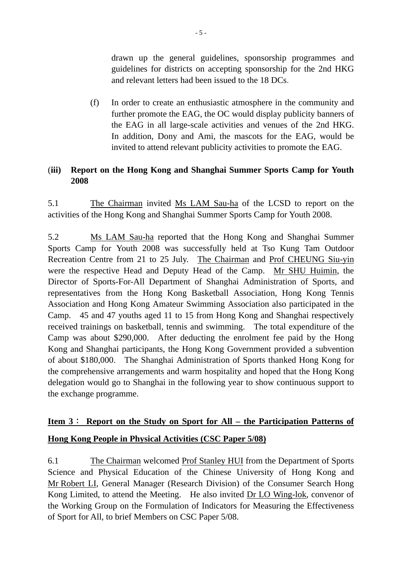drawn up the general guidelines, sponsorship programmes and guidelines for districts on accepting sponsorship for the 2nd HKG and relevant letters had been issued to the 18 DCs.

(f) In order to create an enthusiastic atmosphere in the community and further promote the EAG, the OC would display publicity banners of the EAG in all large-scale activities and venues of the 2nd HKG. In addition, Dony and Ami, the mascots for the EAG, would be invited to attend relevant publicity activities to promote the EAG.

### (**iii) Report on the Hong Kong and Shanghai Summer Sports Camp for Youth 2008**

5.1 The Chairman invited Ms LAM Sau-ha of the LCSD to report on the activities of the Hong Kong and Shanghai Summer Sports Camp for Youth 2008.

5.2 Ms LAM Sau-ha reported that the Hong Kong and Shanghai Summer Sports Camp for Youth 2008 was successfully held at Tso Kung Tam Outdoor Recreation Centre from 21 to 25 July. The Chairman and Prof CHEUNG Siu-yin were the respective Head and Deputy Head of the Camp. Mr SHU Huimin, the Director of Sports-For-All Department of Shanghai Administration of Sports, and representatives from the Hong Kong Basketball Association, Hong Kong Tennis Association and Hong Kong Amateur Swimming Association also participated in the Camp. 45 and 47 youths aged 11 to 15 from Hong Kong and Shanghai respectively received trainings on basketball, tennis and swimming. The total expenditure of the Camp was about \$290,000. After deducting the enrolment fee paid by the Hong Kong and Shanghai participants, the Hong Kong Government provided a subvention of about \$180,000. The Shanghai Administration of Sports thanked Hong Kong for the comprehensive arrangements and warm hospitality and hoped that the Hong Kong delegation would go to Shanghai in the following year to show continuous support to the exchange programme.

# **Item 3**: **Report on the Study on Sport for All – the Participation Patterns of Hong Kong People in Physical Activities (CSC Paper 5/08)**

6.1 The Chairman welcomed Prof Stanley HUI from the Department of Sports Science and Physical Education of the Chinese University of Hong Kong and Mr Robert LI, General Manager (Research Division) of the Consumer Search Hong Kong Limited, to attend the Meeting. He also invited Dr LO Wing-lok, convenor of the Working Group on the Formulation of Indicators for Measuring the Effectiveness of Sport for All, to brief Members on CSC Paper 5/08.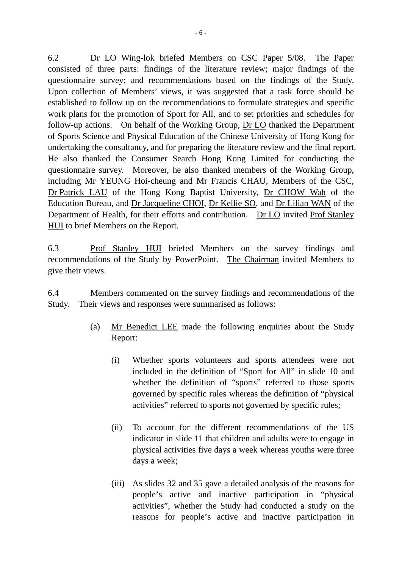6.2 Dr LO Wing-lok briefed Members on CSC Paper 5/08. The Paper consisted of three parts: findings of the literature review; major findings of the questionnaire survey; and recommendations based on the findings of the Study. Upon collection of Members' views, it was suggested that a task force should be established to follow up on the recommendations to formulate strategies and specific work plans for the promotion of Sport for All, and to set priorities and schedules for follow-up actions. On behalf of the Working Group, Dr LO thanked the Department of Sports Science and Physical Education of the Chinese University of Hong Kong for undertaking the consultancy, and for preparing the literature review and the final report. He also thanked the Consumer Search Hong Kong Limited for conducting the questionnaire survey. Moreover, he also thanked members of the Working Group, including Mr YEUNG Hoi-cheung and Mr Francis CHAU, Members of the CSC, Dr Patrick LAU of the Hong Kong Baptist University, Dr CHOW Wah of the Education Bureau, and Dr Jacqueline CHOI, Dr Kellie SO, and Dr Lilian WAN of the Department of Health, for their efforts and contribution. Dr LO invited Prof Stanley HUI to brief Members on the Report.

6.3 Prof Stanley HUI briefed Members on the survey findings and recommendations of the Study by PowerPoint. The Chairman invited Members to give their views.

6.4 Members commented on the survey findings and recommendations of the Study. Their views and responses were summarised as follows:

- (a) Mr Benedict LEE made the following enquiries about the Study Report:
	- (i) Whether sports volunteers and sports attendees were not included in the definition of "Sport for All" in slide 10 and whether the definition of "sports" referred to those sports governed by specific rules whereas the definition of "physical activities" referred to sports not governed by specific rules;
	- (ii) To account for the different recommendations of the US indicator in slide 11 that children and adults were to engage in physical activities five days a week whereas youths were three days a week;
	- (iii) As slides 32 and 35 gave a detailed analysis of the reasons for people's active and inactive participation in "physical activities", whether the Study had conducted a study on the reasons for people's active and inactive participation in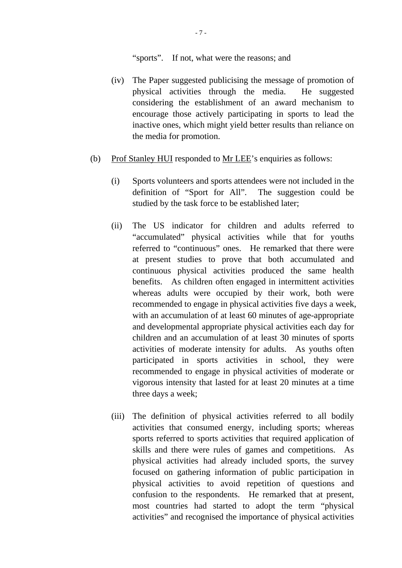"sports". If not, what were the reasons; and

- (iv) The Paper suggested publicising the message of promotion of physical activities through the media. He suggested considering the establishment of an award mechanism to encourage those actively participating in sports to lead the inactive ones, which might yield better results than reliance on the media for promotion.
- (b) Prof Stanley HUI responded to Mr LEE's enquiries as follows:
	- (i) Sports volunteers and sports attendees were not included in the definition of "Sport for All". The suggestion could be studied by the task force to be established later;
	- (ii) The US indicator for children and adults referred to "accumulated" physical activities while that for youths referred to "continuous" ones. He remarked that there were at present studies to prove that both accumulated and continuous physical activities produced the same health benefits. As children often engaged in intermittent activities whereas adults were occupied by their work, both were recommended to engage in physical activities five days a week, with an accumulation of at least 60 minutes of age-appropriate and developmental appropriate physical activities each day for children and an accumulation of at least 30 minutes of sports activities of moderate intensity for adults. As youths often participated in sports activities in school, they were recommended to engage in physical activities of moderate or vigorous intensity that lasted for at least 20 minutes at a time three days a week;
	- (iii) The definition of physical activities referred to all bodily activities that consumed energy, including sports; whereas sports referred to sports activities that required application of skills and there were rules of games and competitions. As physical activities had already included sports, the survey focused on gathering information of public participation in physical activities to avoid repetition of questions and confusion to the respondents. He remarked that at present, most countries had started to adopt the term "physical activities" and recognised the importance of physical activities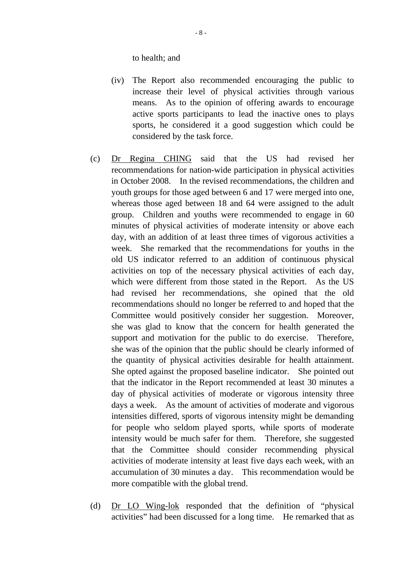to health; and

- (iv) The Report also recommended encouraging the public to increase their level of physical activities through various means. As to the opinion of offering awards to encourage active sports participants to lead the inactive ones to plays sports, he considered it a good suggestion which could be considered by the task force.
- (c) Dr Regina CHING said that the US had revised her recommendations for nation-wide participation in physical activities in October 2008. In the revised recommendations, the children and youth groups for those aged between 6 and 17 were merged into one, whereas those aged between 18 and 64 were assigned to the adult group. Children and youths were recommended to engage in 60 minutes of physical activities of moderate intensity or above each day, with an addition of at least three times of vigorous activities a week. She remarked that the recommendations for youths in the old US indicator referred to an addition of continuous physical activities on top of the necessary physical activities of each day, which were different from those stated in the Report. As the US had revised her recommendations, she opined that the old recommendations should no longer be referred to and hoped that the Committee would positively consider her suggestion. Moreover, she was glad to know that the concern for health generated the support and motivation for the public to do exercise. Therefore, she was of the opinion that the public should be clearly informed of the quantity of physical activities desirable for health attainment. She opted against the proposed baseline indicator. She pointed out that the indicator in the Report recommended at least 30 minutes a day of physical activities of moderate or vigorous intensity three days a week. As the amount of activities of moderate and vigorous intensities differed, sports of vigorous intensity might be demanding for people who seldom played sports, while sports of moderate intensity would be much safer for them. Therefore, she suggested that the Committee should consider recommending physical activities of moderate intensity at least five days each week, with an accumulation of 30 minutes a day. This recommendation would be more compatible with the global trend.
- (d) Dr LO Wing-lok responded that the definition of "physical activities" had been discussed for a long time. He remarked that as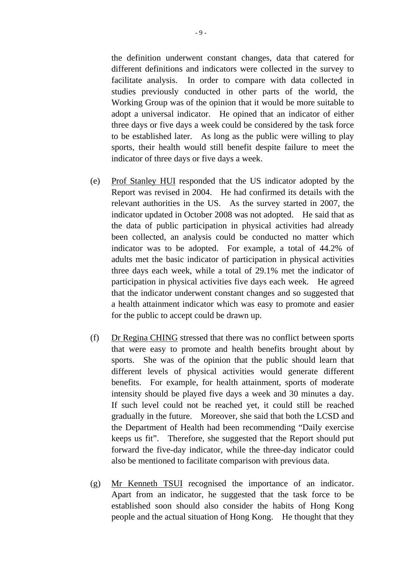the definition underwent constant changes, data that catered for different definitions and indicators were collected in the survey to facilitate analysis. In order to compare with data collected in studies previously conducted in other parts of the world, the Working Group was of the opinion that it would be more suitable to adopt a universal indicator. He opined that an indicator of either three days or five days a week could be considered by the task force to be established later. As long as the public were willing to play sports, their health would still benefit despite failure to meet the indicator of three days or five days a week.

- (e) Prof Stanley HUI responded that the US indicator adopted by the Report was revised in 2004. He had confirmed its details with the relevant authorities in the US. As the survey started in 2007, the indicator updated in October 2008 was not adopted. He said that as the data of public participation in physical activities had already been collected, an analysis could be conducted no matter which indicator was to be adopted. For example, a total of 44.2% of adults met the basic indicator of participation in physical activities three days each week, while a total of 29.1% met the indicator of participation in physical activities five days each week. He agreed that the indicator underwent constant changes and so suggested that a health attainment indicator which was easy to promote and easier for the public to accept could be drawn up.
- (f) Dr Regina CHING stressed that there was no conflict between sports that were easy to promote and health benefits brought about by sports. She was of the opinion that the public should learn that different levels of physical activities would generate different benefits. For example, for health attainment, sports of moderate intensity should be played five days a week and 30 minutes a day. If such level could not be reached yet, it could still be reached gradually in the future. Moreover, she said that both the LCSD and the Department of Health had been recommending "Daily exercise keeps us fit". Therefore, she suggested that the Report should put forward the five-day indicator, while the three-day indicator could also be mentioned to facilitate comparison with previous data.
- (g) Mr Kenneth TSUI recognised the importance of an indicator. Apart from an indicator, he suggested that the task force to be established soon should also consider the habits of Hong Kong people and the actual situation of Hong Kong. He thought that they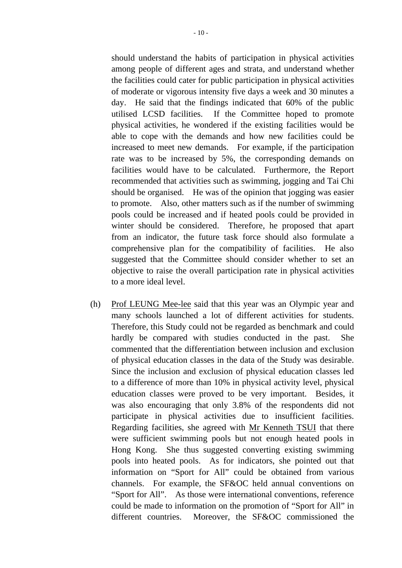should understand the habits of participation in physical activities among people of different ages and strata, and understand whether the facilities could cater for public participation in physical activities of moderate or vigorous intensity five days a week and 30 minutes a day. He said that the findings indicated that 60% of the public utilised LCSD facilities. If the Committee hoped to promote physical activities, he wondered if the existing facilities would be able to cope with the demands and how new facilities could be increased to meet new demands. For example, if the participation rate was to be increased by 5%, the corresponding demands on facilities would have to be calculated. Furthermore, the Report recommended that activities such as swimming, jogging and Tai Chi should be organised. He was of the opinion that jogging was easier to promote. Also, other matters such as if the number of swimming pools could be increased and if heated pools could be provided in winter should be considered. Therefore, he proposed that apart from an indicator, the future task force should also formulate a comprehensive plan for the compatibility of facilities. He also suggested that the Committee should consider whether to set an objective to raise the overall participation rate in physical activities to a more ideal level.

(h) Prof LEUNG Mee-lee said that this year was an Olympic year and many schools launched a lot of different activities for students. Therefore, this Study could not be regarded as benchmark and could hardly be compared with studies conducted in the past. She commented that the differentiation between inclusion and exclusion of physical education classes in the data of the Study was desirable. Since the inclusion and exclusion of physical education classes led to a difference of more than 10% in physical activity level, physical education classes were proved to be very important. Besides, it was also encouraging that only 3.8% of the respondents did not participate in physical activities due to insufficient facilities. Regarding facilities, she agreed with Mr Kenneth TSUI that there were sufficient swimming pools but not enough heated pools in Hong Kong. She thus suggested converting existing swimming pools into heated pools. As for indicators, she pointed out that information on "Sport for All" could be obtained from various channels. For example, the SF&OC held annual conventions on "Sport for All". As those were international conventions, reference could be made to information on the promotion of "Sport for All" in different countries. Moreover, the SF&OC commissioned the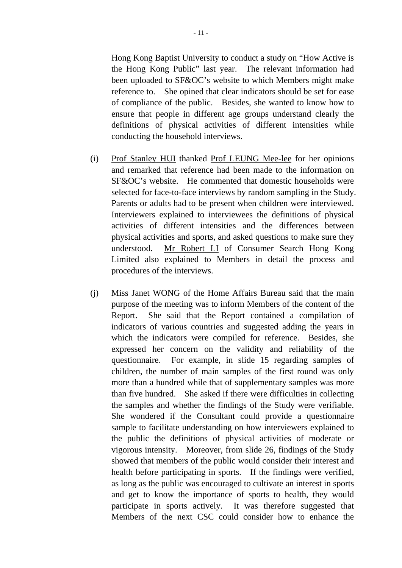Hong Kong Baptist University to conduct a study on "How Active is the Hong Kong Public" last year. The relevant information had been uploaded to SF&OC's website to which Members might make reference to. She opined that clear indicators should be set for ease of compliance of the public. Besides, she wanted to know how to ensure that people in different age groups understand clearly the definitions of physical activities of different intensities while conducting the household interviews.

- (i) Prof Stanley HUI thanked Prof LEUNG Mee-lee for her opinions and remarked that reference had been made to the information on SF&OC's website. He commented that domestic households were selected for face-to-face interviews by random sampling in the Study. Parents or adults had to be present when children were interviewed. Interviewers explained to interviewees the definitions of physical activities of different intensities and the differences between physical activities and sports, and asked questions to make sure they understood. Mr Robert LI of Consumer Search Hong Kong Limited also explained to Members in detail the process and procedures of the interviews.
- (j) Miss Janet WONG of the Home Affairs Bureau said that the main purpose of the meeting was to inform Members of the content of the Report. She said that the Report contained a compilation of indicators of various countries and suggested adding the years in which the indicators were compiled for reference. Besides, she expressed her concern on the validity and reliability of the questionnaire. For example, in slide 15 regarding samples of children, the number of main samples of the first round was only more than a hundred while that of supplementary samples was more than five hundred. She asked if there were difficulties in collecting the samples and whether the findings of the Study were verifiable. She wondered if the Consultant could provide a questionnaire sample to facilitate understanding on how interviewers explained to the public the definitions of physical activities of moderate or vigorous intensity. Moreover, from slide 26, findings of the Study showed that members of the public would consider their interest and health before participating in sports. If the findings were verified, as long as the public was encouraged to cultivate an interest in sports and get to know the importance of sports to health, they would participate in sports actively. It was therefore suggested that Members of the next CSC could consider how to enhance the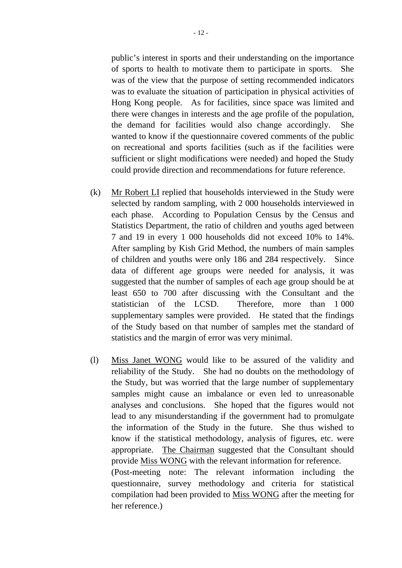public's interest in sports and their understanding on the importance of sports to health to motivate them to participate in sports. She was of the view that the purpose of setting recommended indicators was to evaluate the situation of participation in physical activities of Hong Kong people. As for facilities, since space was limited and there were changes in interests and the age profile of the population, the demand for facilities would also change accordingly. She wanted to know if the questionnaire covered comments of the public on recreational and sports facilities (such as if the facilities were sufficient or slight modifications were needed) and hoped the Study could provide direction and recommendations for future reference.

- (k) Mr Robert LI replied that households interviewed in the Study were selected by random sampling, with 2 000 households interviewed in each phase. According to Population Census by the Census and Statistics Department, the ratio of children and youths aged between 7 and 19 in every 1 000 households did not exceed 10% to 14%. After sampling by Kish Grid Method, the numbers of main samples of children and youths were only 186 and 284 respectively. Since data of different age groups were needed for analysis, it was suggested that the number of samples of each age group should be at least 650 to 700 after discussing with the Consultant and the statistician of the LCSD. Therefore, more than 1 000 supplementary samples were provided. He stated that the findings of the Study based on that number of samples met the standard of statistics and the margin of error was very minimal.
- (l) Miss Janet WONG would like to be assured of the validity and reliability of the Study. She had no doubts on the methodology of the Study, but was worried that the large number of supplementary samples might cause an imbalance or even led to unreasonable analyses and conclusions. She hoped that the figures would not lead to any misunderstanding if the government had to promulgate the information of the Study in the future. She thus wished to know if the statistical methodology, analysis of figures, etc. were appropriate. The Chairman suggested that the Consultant should provide Miss WONG with the relevant information for reference. (Post-meeting note: The relevant information including the questionnaire, survey methodology and criteria for statistical compilation had been provided to Miss WONG after the meeting for

her reference.)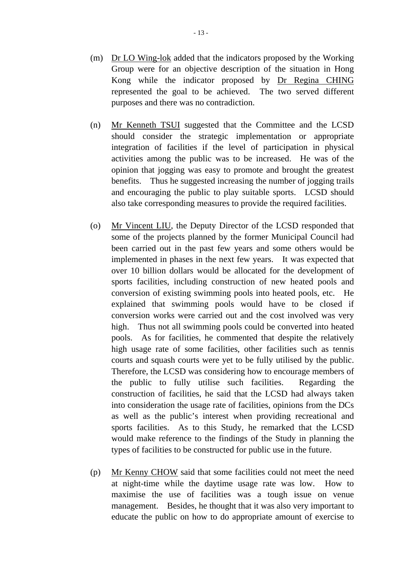- (m) Dr LO Wing-lok added that the indicators proposed by the Working Group were for an objective description of the situation in Hong Kong while the indicator proposed by Dr Regina CHING represented the goal to be achieved. The two served different purposes and there was no contradiction.
- (n) Mr Kenneth TSUI suggested that the Committee and the LCSD should consider the strategic implementation or appropriate integration of facilities if the level of participation in physical activities among the public was to be increased. He was of the opinion that jogging was easy to promote and brought the greatest benefits. Thus he suggested increasing the number of jogging trails and encouraging the public to play suitable sports. LCSD should also take corresponding measures to provide the required facilities.
- (o) Mr Vincent LIU, the Deputy Director of the LCSD responded that some of the projects planned by the former Municipal Council had been carried out in the past few years and some others would be implemented in phases in the next few years. It was expected that over 10 billion dollars would be allocated for the development of sports facilities, including construction of new heated pools and conversion of existing swimming pools into heated pools, etc. He explained that swimming pools would have to be closed if conversion works were carried out and the cost involved was very high. Thus not all swimming pools could be converted into heated pools. As for facilities, he commented that despite the relatively high usage rate of some facilities, other facilities such as tennis courts and squash courts were yet to be fully utilised by the public. Therefore, the LCSD was considering how to encourage members of the public to fully utilise such facilities. Regarding the construction of facilities, he said that the LCSD had always taken into consideration the usage rate of facilities, opinions from the DCs as well as the public's interest when providing recreational and sports facilities. As to this Study, he remarked that the LCSD would make reference to the findings of the Study in planning the types of facilities to be constructed for public use in the future.
- (p) Mr Kenny CHOW said that some facilities could not meet the need at night-time while the daytime usage rate was low. How to maximise the use of facilities was a tough issue on venue management. Besides, he thought that it was also very important to educate the public on how to do appropriate amount of exercise to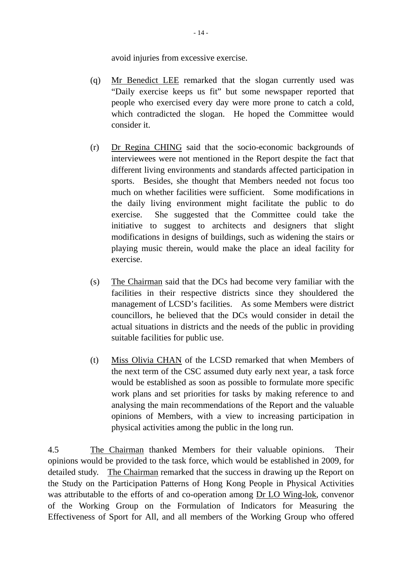avoid injuries from excessive exercise.

- (q) Mr Benedict LEE remarked that the slogan currently used was "Daily exercise keeps us fit" but some newspaper reported that people who exercised every day were more prone to catch a cold, which contradicted the slogan. He hoped the Committee would consider it.
- (r) Dr Regina CHING said that the socio-economic backgrounds of interviewees were not mentioned in the Report despite the fact that different living environments and standards affected participation in sports. Besides, she thought that Members needed not focus too much on whether facilities were sufficient. Some modifications in the daily living environment might facilitate the public to do exercise. She suggested that the Committee could take the initiative to suggest to architects and designers that slight modifications in designs of buildings, such as widening the stairs or playing music therein, would make the place an ideal facility for exercise.
- (s) The Chairman said that the DCs had become very familiar with the facilities in their respective districts since they shouldered the management of LCSD's facilities. As some Members were district councillors, he believed that the DCs would consider in detail the actual situations in districts and the needs of the public in providing suitable facilities for public use.
- (t) Miss Olivia CHAN of the LCSD remarked that when Members of the next term of the CSC assumed duty early next year, a task force would be established as soon as possible to formulate more specific work plans and set priorities for tasks by making reference to and analysing the main recommendations of the Report and the valuable opinions of Members, with a view to increasing participation in physical activities among the public in the long run.

4.5 The Chairman thanked Members for their valuable opinions. Their opinions would be provided to the task force, which would be established in 2009, for detailed study. The Chairman remarked that the success in drawing up the Report on the Study on the Participation Patterns of Hong Kong People in Physical Activities was attributable to the efforts of and co-operation among Dr LO Wing-lok, convenor of the Working Group on the Formulation of Indicators for Measuring the Effectiveness of Sport for All, and all members of the Working Group who offered